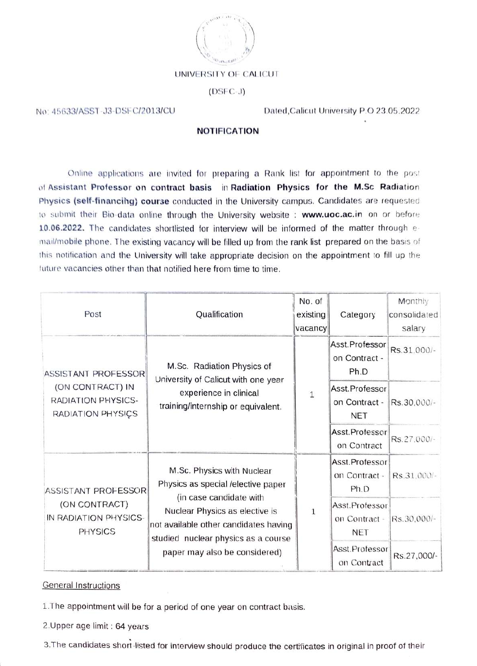

## UNIVERSITY OF CALICUT

## $(DSFC-J)$

## No: 45633/ASST-J3-DSFC/2013/CU

Dated, Calicut University P.O 23.05.2022

## **NOTIFICATION**

Online applications are invited for preparing a Rank list for appointment to the post of Assistant Professor on contract basis in Radiation Physics for the M.Sc Radiation Physics (self-financing) course conducted in the University campus. Candidates are requested to submit their Bio-data online through the University website : www.uoc.ac.in on or before 10.06.2022. The candidates shortlisted for interview will be informed of the matter through email/mobile phone. The existing vacancy will be filled up from the rank list prepared on the basis of this notification and the University will take appropriate decision on the appointment to fill up the tuture vacancies other than that notified here from time to time.

| Post                                                                               | Qualification                                                                                                                                                                                                                                  | No. of<br>existing<br>vacancy | Category                                      | Monthly<br>consolidated<br>salary |
|------------------------------------------------------------------------------------|------------------------------------------------------------------------------------------------------------------------------------------------------------------------------------------------------------------------------------------------|-------------------------------|-----------------------------------------------|-----------------------------------|
| ASSISTANT PROFESSOR<br>(ON CONTRACT) IN<br>RADIATION PHYSICS-<br>RADIATION PHYSICS | M.Sc. Radiation Physics of<br>University of Calicut with one year<br>experience in clinical<br>training/internship or equivalent.                                                                                                              | $1\,$                         | Asst.Professor<br>on Contract -<br>Ph.D       | Rs.31,000/-                       |
|                                                                                    |                                                                                                                                                                                                                                                |                               | Asst.Professor<br>on Contract -<br><b>NET</b> | Rs.30,000/-                       |
|                                                                                    |                                                                                                                                                                                                                                                |                               | Asst.Professor<br>on Contract                 | Rs.27,000/-                       |
| ASSISTANT PROFESSOR<br>(ON CONTRACT)<br>IN RADIATION PHYSICS-<br><b>PHYSICS</b>    | M.Sc. Physics with Nuclear<br>Physics as special /elective paper<br>(in case candidate with<br>Nuclear Physics as elective is<br>not available other candidates having<br>studied nuclear physics as a course<br>paper may also be considered) | $\,1\,$                       | Asst.Professor<br>on Contract -<br>Ph.D       | Rs.31.000/-                       |
|                                                                                    |                                                                                                                                                                                                                                                |                               | Asst.Professor<br>on Contract -<br><b>NET</b> | Rs.30,000/-                       |
|                                                                                    |                                                                                                                                                                                                                                                |                               | Asst.Professor<br>on Contract                 | Rs.27,000/-                       |

**General Instructions** 

1. The appointment will be for a period of one year on contract basis.

2. Upper age limit: 64 years

3. The candidates short listed for interview should produce the certificates in original in proof of their